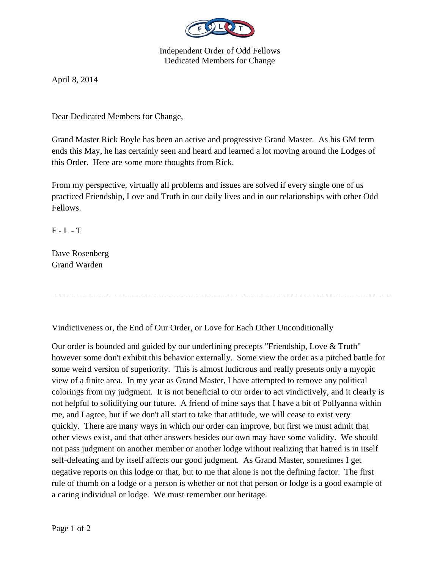

Independent Order of Odd Fellows Dedicated Members for Change

April 8, 2014

Dear Dedicated Members for Change,

Grand Master Rick Boyle has been an active and progressive Grand Master. As his GM term ends this May, he has certainly seen and heard and learned a lot moving around the Lodges of this Order. Here are some more thoughts from Rick.

From my perspective, virtually all problems and issues are solved if every single one of us practiced Friendship, Love and Truth in our daily lives and in our relationships with other Odd Fellows.

 $F - L - T$ 

Dave Rosenberg Grand Warden

Vindictiveness or, the End of Our Order, or Love for Each Other Unconditionally

Our order is bounded and guided by our underlining precepts "Friendship, Love & Truth" however some don't exhibit this behavior externally. Some view the order as a pitched battle for some weird version of superiority. This is almost ludicrous and really presents only a myopic view of a finite area. In my year as Grand Master, I have attempted to remove any political colorings from my judgment. It is not beneficial to our order to act vindictively, and it clearly is not helpful to solidifying our future. A friend of mine says that I have a bit of Pollyanna within me, and I agree, but if we don't all start to take that attitude, we will cease to exist very quickly. There are many ways in which our order can improve, but first we must admit that other views exist, and that other answers besides our own may have some validity. We should not pass judgment on another member or another lodge without realizing that hatred is in itself self-defeating and by itself affects our good judgment. As Grand Master, sometimes I get negative reports on this lodge or that, but to me that alone is not the defining factor. The first rule of thumb on a lodge or a person is whether or not that person or lodge is a good example of a caring individual or lodge. We must remember our heritage.